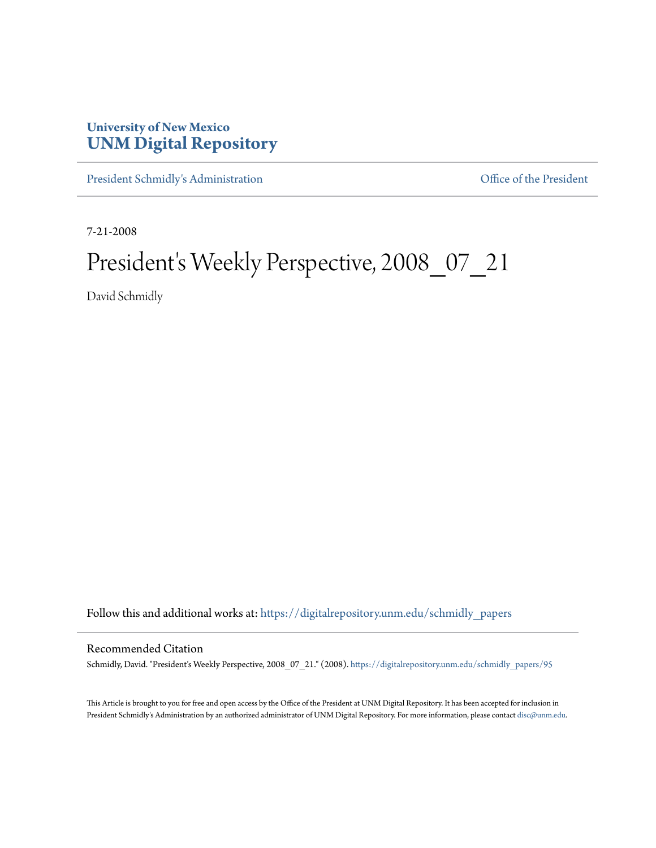## **University of New Mexico [UNM Digital Repository](https://digitalrepository.unm.edu?utm_source=digitalrepository.unm.edu%2Fschmidly_papers%2F95&utm_medium=PDF&utm_campaign=PDFCoverPages)**

[President Schmidly's Administration](https://digitalrepository.unm.edu/schmidly_papers?utm_source=digitalrepository.unm.edu%2Fschmidly_papers%2F95&utm_medium=PDF&utm_campaign=PDFCoverPages) [Office of the President](https://digitalrepository.unm.edu/ofc_president?utm_source=digitalrepository.unm.edu%2Fschmidly_papers%2F95&utm_medium=PDF&utm_campaign=PDFCoverPages)

7-21-2008

## President's Weekly Perspective, 2008\_07\_21

David Schmidly

Follow this and additional works at: [https://digitalrepository.unm.edu/schmidly\\_papers](https://digitalrepository.unm.edu/schmidly_papers?utm_source=digitalrepository.unm.edu%2Fschmidly_papers%2F95&utm_medium=PDF&utm_campaign=PDFCoverPages)

## Recommended Citation

Schmidly, David. "President's Weekly Perspective, 2008\_07\_21." (2008). [https://digitalrepository.unm.edu/schmidly\\_papers/95](https://digitalrepository.unm.edu/schmidly_papers/95?utm_source=digitalrepository.unm.edu%2Fschmidly_papers%2F95&utm_medium=PDF&utm_campaign=PDFCoverPages)

This Article is brought to you for free and open access by the Office of the President at UNM Digital Repository. It has been accepted for inclusion in President Schmidly's Administration by an authorized administrator of UNM Digital Repository. For more information, please contact [disc@unm.edu](mailto:disc@unm.edu).